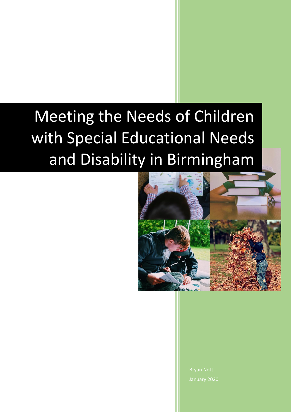# Meeting the Needs of Children with Special Educational Needs and Disability in Birmingham



Bryan Nott January 2020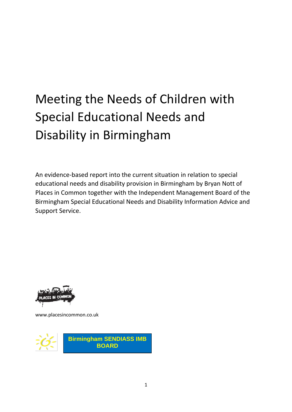## Meeting the Needs of Children with Special Educational Needs and Disability in Birmingham

An evidence-based report into the current situation in relation to special educational needs and disability provision in Birmingham by Bryan Nott of Places in Common together with the Independent Management Board of the Birmingham Special Educational Needs and Disability Information Advice and Support Service.



www.placesincommon.co.uk

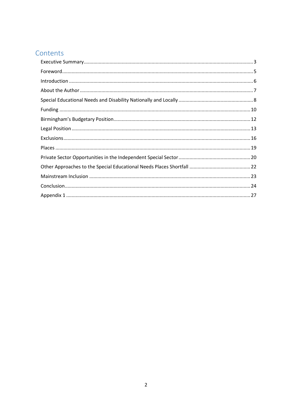### Contents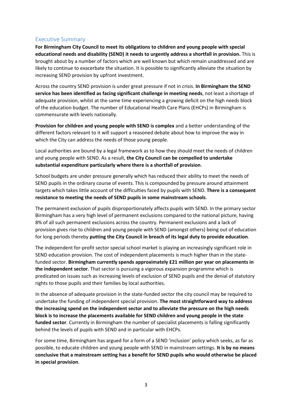#### <span id="page-3-0"></span>Executive Summary

**For Birmingham City Council to meet its obligations to children and young people with special educational needs and disability (SEND) it needs to urgently address a shortfall in provision.** This is brought about by a number of factors which are well known but which remain unaddressed and are likely to continue to exacerbate the situation. It is possible to significantly alleviate the situation by increasing SEND provision by upfront investment.

Across the country SEND provision is under great pressure if not in crisis. **In Birmingham the SEND service has been identified as facing significant challenge in meeting needs**, not least a shortage of adequate provision, whilst at the same time experiencing a growing deficit on the high needs block of the education budget. The number of Educational Health Care Plans (EHCPs) in Birmingham is commensurate with levels nationally.

**Provision for children and young people with SEND is complex** and a better understanding of the different factors relevant to it will support a reasoned debate about how to improve the way in which the City can address the needs of those young people.

Local authorities are bound by a legal framework as to how they should meet the needs of children and young people with SEND. As a result, **the City Council can be compelled to undertake substantial expenditure particularly where there is a shortfall of provision**.

School budgets are under pressure generally which has reduced their ability to meet the needs of SEND pupils in the ordinary course of events. This is compounded by pressure around attainment targets which takes little account of the difficulties faced by pupils with SEND. **There is a consequent resistance to meeting the needs of SEND pupils in some mainstream schools**.

The permanent exclusion of pupils disproportionately affects pupils with SEND. In the primary sector Birmingham has a very high level of permanent exclusions compared to the national picture, having 8% of all such permanent exclusions across the country. Permanent exclusions and a lack of provision gives rise to children and young people with SEND (amongst others) being out of education for long periods thereby **putting the City Council in breach of its legal duty to provide education**.

The independent for-profit sector special school market is playing an increasingly significant role in SEND education provision. The cost of independent placements is much higher than in the statefunded sector. **Birmingham currently spends approximately £21 million per year on placements in the independent sector**. That sector is pursuing a vigorous expansion programme which is predicated on issues such as increasing levels of exclusion of SEND pupils and the denial of statutory rights to those pupils and their families by local authorities.

In the absence of adequate provision in the state-funded sector the city council may be required to undertake the funding of independent special provision. **The most straightforward way to address the increasing spend on the independent sector and to alleviate the pressure on the high needs block is to increase the placements available for SEND children and young people in the state funded sector**. Currently in Birmingham the number of specialist placements is falling significantly behind the levels of pupils with SEND and in particular with EHCPs.

For some time, Birmingham has argued for a form of a SEND 'inclusion' policy which seeks, as far as possible, to educate children and young people with SEND in mainstream settings. **It is by no means conclusive that a mainstream setting has a benefit for SEND pupils who would otherwise be placed in special provision**.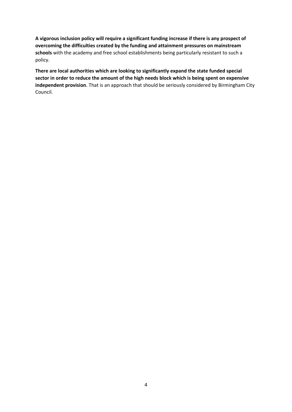**A vigorous inclusion policy will require a significant funding increase if there is any prospect of overcoming the difficulties created by the funding and attainment pressures on mainstream schools** with the academy and free school establishments being particularly resistant to such a policy.

**There are local authorities which are looking to significantly expand the state funded special sector in order to reduce the amount of the high needs block which is being spent on expensive independent provision**. That is an approach that should be seriously considered by Birmingham City Council.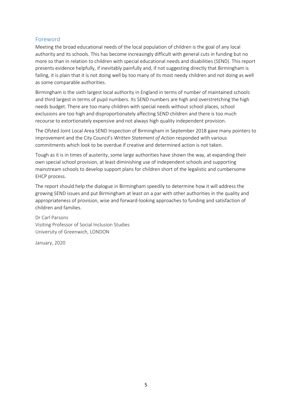#### <span id="page-5-0"></span>Foreword

Meeting the broad educational needs of the local population of children is the goal of any local authority and its schools. This has become increasingly difficult with general cuts in funding but no more so than in relation to children with special educational needs and disabilities (SEND). This report presents evidence helpfully, if inevitably painfully and, if not suggesting directly that Birmingham is failing, it is plain that it is not doing well by too many of its most needy children and not doing as well as some comparable authorities.

Birmingham is the sixth largest local authority in England in terms of number of maintained schools and third largest in terms of pupil numbers. Its SEND numbers are high and overstretching the high needs budget. There are too many children with special needs without school places, school exclusions are too high and disproportionately affecting SEND children and there is too much recourse to extortionately expensive and not always high quality independent provision.

The Ofsted Joint Local Area SEND Inspection of Birmingham in September 2018 gave many pointers to improvement and the City Council's *Written Statement of Action* responded with various commitments which look to be overdue if creative and determined action is not taken.

Tough as it is in times of austerity, some large authorities have shown the way, at expanding their own special school provision, at least diminishing use of independent schools and supporting mainstream schools to develop support plans for children short of the legalistic and cumbersome EHCP process.

The report should help the dialogue in Birmingham speedily to determine how it will address the growing SEND issues and put Birmingham at least on a par with other authorities in the quality and appropriateness of provision, wise and forward-looking approaches to funding and satisfaction of children and families.

Dr Carl Parsons Visiting Professor of Social Inclusion Studies University of Greenwich, LONDON

January, 2020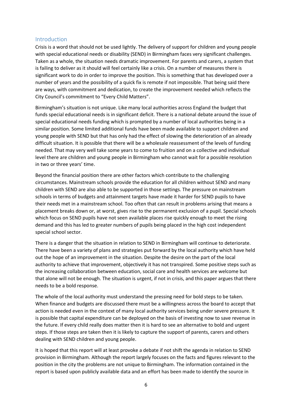#### <span id="page-6-0"></span>Introduction

Crisis is a word that should not be used lightly. The delivery of support for children and young people with special educational needs or disability (SEND) in Birmingham faces very significant challenges. Taken as a whole, the situation needs dramatic improvement. For parents and carers, a system that is failing to deliver as it should will feel certainly like a crisis. On a number of measures there is significant work to do in order to improve the position. This is something that has developed over a number of years and the possibility of a quick fix is remote if not impossible. That being said there are ways, with commitment and dedication, to create the improvement needed which reflects the City Council's commitment to "Every Child Matters".

Birmingham's situation is not unique. Like many local authorities across England the budget that funds special educational needs is in significant deficit. There is a national debate around the issue of special educational needs funding which is prompted by a number of local authorities being in a similar position. Some limited additional funds have been made available to support children and young people with SEND but that has only had the effect of slowing the deterioration of an already difficult situation. It is possible that there will be a wholesale reassessment of the levels of funding needed. That may very well take some years to come to fruition and on a collective and individual level there are children and young people in Birmingham who cannot wait for a possible resolution in two or three years' time.

Beyond the financial position there are other factors which contribute to the challenging circumstances. Mainstream schools provide the education for all children without SEND and many children with SEND are also able to be supported in those settings. The pressure on mainstream schools in terms of budgets and attainment targets have made it harder for SEND pupils to have their needs met in a mainstream school. Too often that can result in problems arising that means a placement breaks down or, at worst, gives rise to the permanent exclusion of a pupil. Special schools which focus on SEND pupils have not seen available places rise quickly enough to meet the rising demand and this has led to greater numbers of pupils being placed in the high cost independent special school sector.

There is a danger that the situation in relation to SEND in Birmingham will continue to deteriorate. There have been a variety of plans and strategies put forward by the local authority which have held out the hope of an improvement in the situation. Despite the desire on the part of the local authority to achieve that improvement, objectively it has not transpired. Some positive steps such as the increasing collaboration between education, social care and health services are welcome but that alone will not be enough. The situation is urgent, if not in crisis, and this paper argues that there needs to be a bold response.

The whole of the local authority must understand the pressing need for bold steps to be taken. When finance and budgets are discussed there must be a willingness across the board to accept that action is needed even in the context of many local authority services being under severe pressure. It is possible that capital expenditure can be deployed on the basis of investing now to save revenue in the future. If every child really does matter then it is hard to see an alternative to bold and urgent steps. If those steps are taken then it is likely to capture the support of parents, carers and others dealing with SEND children and young people.

It is hoped that this report will at least provoke a debate if not shift the agenda in relation to SEND provision in Birmingham. Although the report largely focuses on the facts and figures relevant to the position in the city the problems are not unique to Birmingham. The information contained in the report is based upon publicly available data and an effort has been made to identify the source in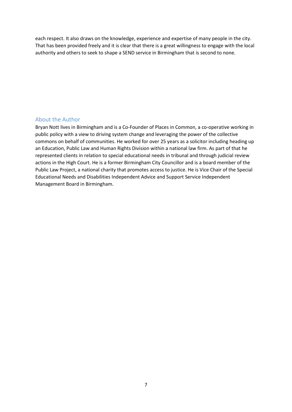each respect. It also draws on the knowledge, experience and expertise of many people in the city. That has been provided freely and it is clear that there is a great willingness to engage with the local authority and others to seek to shape a SEND service in Birmingham that is second to none.

#### <span id="page-7-0"></span>About the Author

Bryan Nott lives in Birmingham and is a Co-Founder of Places in Common, a co-operative working in public policy with a view to driving system change and leveraging the power of the collective commons on behalf of communities. He worked for over 25 years as a solicitor including heading up an Education, Public Law and Human Rights Division within a national law firm. As part of that he represented clients in relation to special educational needs in tribunal and through judicial review actions in the High Court. He is a former Birmingham City Councillor and is a board member of the Public Law Project, a national charity that promotes access to justice. He is Vice Chair of the Special Educational Needs and Disabilities Independent Advice and Support Service Independent Management Board in Birmingham.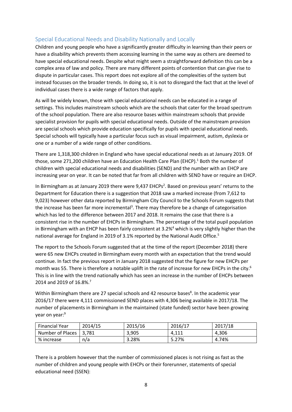#### <span id="page-8-0"></span>Special Educational Needs and Disability Nationally and Locally

Children and young people who have a significantly greater difficulty in learning than their peers or have a disability which prevents them accessing learning in the same way as others are deemed to have special educational needs. Despite what might seem a straightforward definition this can be a complex area of law and policy. There are many different points of contention that can give rise to dispute in particular cases. This report does not explore all of the complexities of the system but instead focusses on the broader trends. In doing so, it is not to disregard the fact that at the level of individual cases there is a wide range of factors that apply.

As will be widely known, those with special educational needs can be educated in a range of settings. This includes mainstream schools which are the schools that cater for the broad spectrum of the school population. There are also resource bases within mainstream schools that provide specialist provision for pupils with special educational needs. Outside of the mainstream provision are special schools which provide education specifically for pupils with special educational needs. Special schools will typically have a particular focus such as visual impairment, autism, dyslexia or one or a number of a wide range of other conditions.

There are 1,318,300 children in England who have special educational needs as at January 2019. Of those, some 271,200 children have an Education Health Care Plan (EHCP). <sup>1</sup> Both the number of children with special educational needs and disabilities (SEND) and the number with an EHCP are increasing year on year. It can be noted that far from all children with SEND have or require an EHCP.

In Birmingham as at January 2019 there were 9,437 EHCPs<sup>2</sup>. Based on previous years' returns to the Department for Education there is a suggestion that 2018 saw a marked increase (from 7,612 to 9,023) however other data reported by Birmingham City Council to the Schools Forum suggests that the increase has been far more incremental<sup>3</sup>. There may therefore be a change of categorisation which has led to the difference between 2017 and 2018. It remains the case that there is a consistent rise in the number of EHCPs in Birmingham. The percentage of the total pupil population in Birmingham with an EHCP has been fairly consistent at  $3.2\%$ <sup>4</sup> which is very slightly higher than the national average for England in 2019 of 3.1% reported by the National Audit Office.<sup>5</sup>

The report to the Schools Forum suggested that at the time of the report (December 2018) there were 65 new EHCPs created in Birmingham every month with an expectation that the trend would continue. In fact the previous report in January 2018 suggested that the figure for new EHCPs per month was 55. There is therefore a notable uplift in the rate of increase for new EHCPs in the city.<sup>6</sup> This is in line with the trend nationally which has seen an increase in the number of EHCPs between 2014 and 2019 of 16.8%.<sup>7</sup>

Within Birmingham there are 27 special schools and 42 resource bases<sup>8</sup>. In the academic year 2016/17 there were 4,111 commissioned SEND places with 4,306 being available in 2017/18. The number of placements in Birmingham in the maintained (state funded) sector have been growing year on year:<sup>9</sup>

| <b>Financial Year</b> | 2014/15 | 2015/16 | 2016/17 | 2017/18 |
|-----------------------|---------|---------|---------|---------|
| Number of Places 1    | 3.781   | 3.905   | 4.111   | 4,306   |
| % increase            | n/a     | 3.28%   | 5.27%   | 4.74%   |

There is a problem however that the number of commissioned places is not rising as fast as the number of children and young people with EHCPs or their forerunner, statements of special educational need (SSEN):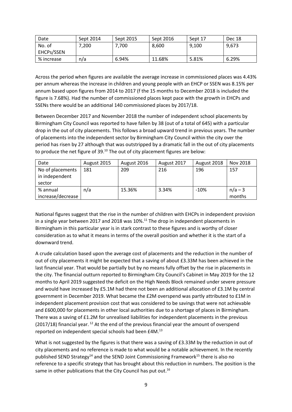| Date       | Sept 2014 | Sept 2015 | Sept 2016 | Sept 17 | Dec 18 |
|------------|-----------|-----------|-----------|---------|--------|
| No. of     | 200.'     | $'$ .700  | 8.600     | 9,100   | 9,673  |
| EHCPs/SSEN |           |           |           |         |        |
| % increase | n/a       | 6.94%     | 11.68%    | 5.81%   | 6.29%  |

Across the period when figures are available the average increase in commissioned places was 4.43% per annum whereas the increase in children and young people with an EHCP or SSEN was 8.15% per annum based upon figures from 2014 to 2017 (f the 15 months to December 2018 is included the figure is 7.68%). Had the number of commissioned places kept pace with the growth in EHCPs and SSENs there would be an additional 140 commissioned places by 2017/18.

Between December 2017 and November 2018 the number of independent school placements by Birmingham City Council was reported to have fallen by 38 (out of a total of 645) with a particular drop in the out of city placements. This follows a broad upward trend in previous years. The number of placements into the independent sector by Birmingham City Council within the city over the period has risen by 27 although that was outstripped by a dramatic fall in the out of city placements to produce the net figure of 39.<sup>10</sup> The out of city placement figures are below:

| Date                                         | August 2015 | August 2016 | August 2017 | August 2018 | Nov 2018            |
|----------------------------------------------|-------------|-------------|-------------|-------------|---------------------|
| No of placements<br>in independent<br>sector | 181         | 209         | 216         | 196         | 157                 |
| % annual<br>increase/decrease                | n/a         | 15.36%      | 3.34%       | $-10%$      | $n/a - 3$<br>months |

National figures suggest that the rise in the number of children with EHCPs in independent provision in a single year between 2017 and 2018 was 10%.<sup>11</sup> The drop in independent placements in Birmingham in this particular year is in stark contrast to these figures and is worthy of closer consideration as to what it means in terms of the overall position and whether it is the start of a downward trend.

A crude calculation based upon the average cost of placements and the reduction in the number of out of city placements it might be expected that a saving of about £3.33M has been achieved in the last financial year. That would be partially but by no means fully offset by the rise in placements in the city. The financial outturn reported to Birmingham City Council's Cabinet in May 2019 for the 12 months to April 2019 suggested the deficit on the High Needs Block remained under severe pressure and would have increased by £5.1M had there not been an additional allocation of £3.1M by central government in December 2019. What became the £2M overspend was partly attributed to £1M in independent placement provision cost that was considered to be savings that were not achievable and £600,000 for placements in other local authorities due to a shortage of places in Birmingham. There was a saving of £1.2M for unrealised liabilities for independent placements in the previous (2017/18) financial year.  $^{12}$  At the end of the previous financial year the amount of overspend reported on independent special schools had been £4M.<sup>13</sup>

What is not suggested by the figures is that there was a saving of £3.33M by the reduction in out of city placements and no reference is made to what would be a notable achievement. In the recently published SEND Strategy<sup>14</sup> and the SEND Joint Commissioning Framework<sup>15</sup> there is also no reference to a specific strategy that has brought about this reduction in numbers. The position is the same in other publications that the City Council has put out.<sup>16</sup>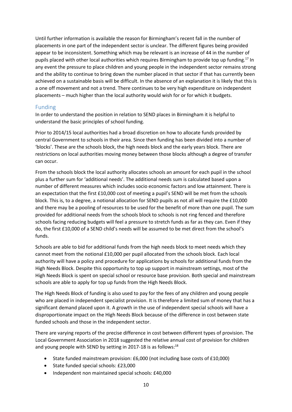Until further information is available the reason for Birmingham's recent fall in the number of placements in one part of the independent sector is unclear. The different figures being provided appear to be inconsistent. Something which may be relevant is an increase of 44 in the number of pupils placed with other local authorities which requires Birmingham to provide top up funding. <sup>17</sup> In any event the pressure to place children and young people in the independent sector remains strong and the ability to continue to bring down the number placed in that sector if that has currently been achieved on a sustainable basis will be difficult. In the absence of an explanation it is likely that this is a one off movement and not a trend. There continues to be very high expenditure on independent placements – much higher than the local authority would wish for or for which it budgets.

#### <span id="page-10-0"></span>Funding

In order to understand the position in relation to SEND places in Birmingham it is helpful to understand the basic principles of school funding.

Prior to 2014/15 local authorities had a broad discretion on how to allocate funds provided by central Government to schools in their area. Since then funding has been divided into a number of 'blocks'. These are the schools block, the high needs block and the early years block. There are restrictions on local authorities moving money between those blocks although a degree of transfer can occur.

From the schools block the local authority allocates schools an amount for each pupil in the school plus a further sum for 'additional needs'. The additional needs sum is calculated based upon a number of different measures which includes socio economic factors and low attainment. There is an expectation that the first £10,000 cost of meeting a pupil's SEND will be met from the schools block. This is, to a degree, a notional allocation for SEND pupils as not all will require the £10,000 and there may be a pooling of resources to be used for the benefit of more than one pupil. The sum provided for additional needs from the schools block to schools is not ring fenced and therefore schools facing reducing budgets will feel a pressure to stretch funds as far as they can. Even if they do, the first £10,000 of a SEND child's needs will be assumed to be met direct from the school's funds.

Schools are able to bid for additional funds from the high needs block to meet needs which they cannot meet from the notional £10,000 per pupil allocated from the schools block. Each local authority will have a policy and procedure for applications by schools for additional funds from the High Needs Block. Despite this opportunity to top up support in mainstream settings, most of the High Needs Block is spent on special school or resource base provision. Both special and mainstream schools are able to apply for top up funds from the High Needs Block.

The High Needs Block of funding is also used to pay for the fees of any children and young people who are placed in independent specialist provision. It is therefore a limited sum of money that has a significant demand placed upon it. A growth in the use of independent special schools will have a disproportionate impact on the High Needs Block because of the difference in cost between state funded schools and those in the independent sector.

There are varying reports of the precise difference in cost between different types of provision. The Local Government Association in 2018 suggested the relative annual cost of provision for children and young people with SEND by setting in 2017-18 is as follows:<sup>18</sup>

- State funded mainstream provision: £6,000 (not including base costs of £10,000)
- State funded special schools: £23,000
- Independent non maintained special schools: £40,000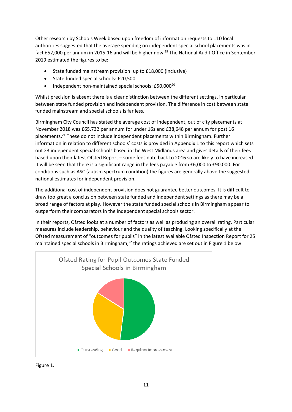Other research by Schools Week based upon freedom of information requests to 110 local authorities suggested that the average spending on independent special school placements was in fact £52,000 per annum in 2015-16 and will be higher now.<sup>19</sup> The National Audit Office in September 2019 estimated the figures to be:

- State funded mainstream provision: up to £18,000 (inclusive)
- State funded special schools: £20,500
- Independent non-maintained special schools:  $£50,000^{20}$

Whilst precision is absent there is a clear distinction between the different settings, in particular between state funded provision and independent provision. The difference in cost between state funded mainstream and special schools is far less.

Birmingham City Council has stated the average cost of independent, out of city placements at November 2018 was £65,732 per annum for under 16s and £38,648 per annum for post 16 placements. <sup>21</sup> These do not include independent placements within Birmingham. Further information in relation to different schools' costs is provided in Appendix 1 to this report which sets out 23 independent special schools based in the West Midlands area and gives details of their fees based upon their latest Ofsted Report – some fees date back to 2016 so are likely to have increased. It will be seen that there is a significant range in the fees payable from £6,000 to £90,000. For conditions such as ASC (autism spectrum condition) the figures are generally above the suggested national estimates for independent provision.

The additional cost of independent provision does not guarantee better outcomes. It is difficult to draw too great a conclusion between state funded and independent settings as there may be a broad range of factors at play. However the state funded special schools in Birmingham appear to outperform their comparators in the independent special schools sector.

In their reports, Ofsted looks at a number of factors as well as producing an overall rating. Particular measures include leadership, behaviour and the quality of teaching. Looking specifically at the Ofsted measurement of "outcomes for pupils" in the latest available Ofsted Inspection Report for 25 maintained special schools in Birmingham,<sup>22</sup> the ratings achieved are set out in Figure 1 below:



Figure 1.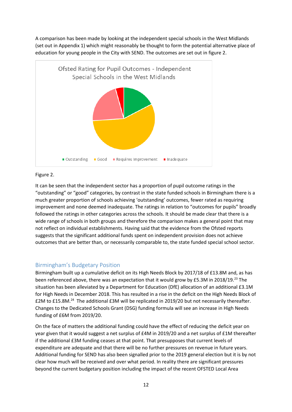A comparison has been made by looking at the independent special schools in the West Midlands (set out in Appendix 1) which might reasonably be thought to form the potential alternative place of education for young people in the City with SEND. The outcomes are set out in figure 2.



#### Figure 2.

It can be seen that the independent sector has a proportion of pupil outcome ratings in the "outstanding" or "good" categories, by contrast in the state funded schools in Birmingham there is a much greater proportion of schools achieving 'outstanding' outcomes, fewer rated as requiring improvement and none deemed inadequate. The ratings in relation to "outcomes for pupils" broadly followed the ratings in other categories across the schools. It should be made clear that there is a wide range of schools in both groups and therefore the comparison makes a general point that may not reflect on individual establishments. Having said that the evidence from the Ofsted reports suggests that the significant additional funds spent on independent provision does not achieve outcomes that are better than, or necessarily comparable to, the state funded special school sector.

#### <span id="page-12-0"></span>Birmingham's Budgetary Position

Birmingham built up a cumulative deficit on its High Needs Block by 2017/18 of £13.8M and, as has been referenced above, there was an expectation that it would grow by £5.3M in 2018/19.<sup>23</sup> The situation has been alleviated by a Department for Education (DfE) allocation of an additional £3.1M for High Needs in December 2018. This has resulted in a rise in the deficit on the High Needs Block of £2M to £15.8M.<sup>24</sup> The additional £3M will be replicated in 2019/20 but not necessarily thereafter. Changes to the Dedicated Schools Grant (DSG) funding formula will see an increase in High Needs funding of £6M from 2019/20.

On the face of matters the additional funding could have the effect of reducing the deficit year on year given that it would suggest a net surplus of £4M in 2019/20 and a net surplus of £1M thereafter if the additional £3M funding ceases at that point. That presupposes that current levels of expenditure are adequate and that there will be no further pressures on revenue in future years. Additional funding for SEND has also been signalled prior to the 2019 general election but it is by not clear how much will be received and over what period. In reality there are significant pressures beyond the current budgetary position including the impact of the recent OFSTED Local Area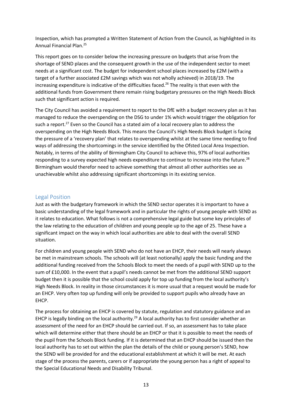Inspection, which has prompted a Written Statement of Action from the Council, as highlighted in its Annual Financial Plan.<sup>25</sup>

This report goes on to consider below the increasing pressure on budgets that arise from the shortage of SEND places and the consequent growth in the use of the independent sector to meet needs at a significant cost. The budget for independent school places increased by £2M (with a target of a further associated £2M savings which was not wholly achieved) in 2018/19. The increasing expenditure is indicative of the difficulties faced. <sup>26</sup> The reality is that even with the additional funds from Government there remain rising budgetary pressures on the High Needs Block such that significant action is required.

The City Council has avoided a requirement to report to the DfE with a budget recovery plan as it has managed to reduce the overspending on the DSG to under 1% which would trigger the obligation for such a report.<sup>27</sup> Even so the Council has a stated aim of a local recovery plan to address the overspending on the High Needs Block. This means the Council's High Needs Block budget is facing the pressure of a 'recovery plan' that relates to overspending whilst at the same time needing to find ways of addressing the shortcomings in the service identified by the Ofsted Local Area Inspection. Notably, in terms of the ability of Birmingham City Council to achieve this, 97% of local authorities responding to a survey expected high needs expenditure to continue to increase into the future.<sup>28</sup> Birmingham would therefor need to achieve something that almost all other authorities see as unachievable whilst also addressing significant shortcomings in its existing service.

#### <span id="page-13-0"></span>Legal Position

Just as with the budgetary framework in which the SEND sector operates it is important to have a basic understanding of the legal framework and in particular the rights of young people with SEND as it relates to education. What follows is not a comprehensive legal guide but some key principles of the law relating to the education of children and young people up to the age of 25. These have a significant impact on the way in which local authorities are able to deal with the overall SEND situation.

For children and young people with SEND who do not have an EHCP, their needs will nearly always be met in mainstream schools. The schools will (at least notionally) apply the basic funding and the additional funding received from the Schools Block to meet the needs of a pupil with SEND up to the sum of £10,000. In the event that a pupil's needs cannot be met from the additional SEND support budget then it is possible that the school could apply for top up funding from the local authority's High Needs Block. In reality in those circumstances it is more usual that a request would be made for an EHCP. Very often top up funding will only be provided to support pupils who already have an EHCP.

The process for obtaining an EHCP is covered by statute, regulation and statutory guidance and an EHCP is legally binding on the local authority.<sup>29</sup> A local authority has to first consider whether an assessment of the need for an EHCP should be carried out. If so, an assessment has to take place which will determine either that there should be an EHCP or that it is possible to meet the needs of the pupil from the Schools Block funding. If it is determined that an EHCP should be issued then the local authority has to set out within the plan the details of the child or young person's SEND, how the SEND will be provided for and the educational establishment at which it will be met. At each stage of the process the parents, carers or if appropriate the young person has a right of appeal to the Special Educational Needs and Disability Tribunal.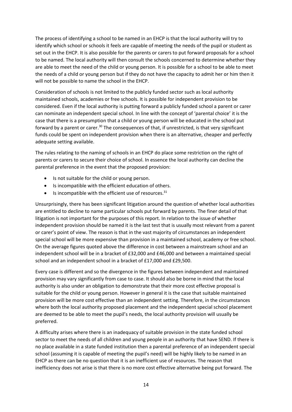The process of identifying a school to be named in an EHCP is that the local authority will try to identify which school or schools it feels are capable of meeting the needs of the pupil or student as set out in the EHCP. It is also possible for the parents or carers to put forward proposals for a school to be named. The local authority will then consult the schools concerned to determine whether they are able to meet the need of the child or young person. It is possible for a school to be able to meet the needs of a child or young person but if they do not have the capacity to admit her or him then it will not be possible to name the school in the EHCP.

Consideration of schools is not limited to the publicly funded sector such as local authority maintained schools, academies or free schools. It is possible for independent provision to be considered. Even if the local authority is putting forward a publicly funded school a parent or carer can nominate an independent special school. In line with the concept of 'parental choice' it is the case that there is a presumption that a child or young person will be educated in the school put forward by a parent or carer.<sup>30</sup> The consequences of that, if unrestricted, is that very significant funds could be spent on independent provision when there is an alternative, cheaper and perfectly adequate setting available.

The rules relating to the naming of schools in an EHCP do place some restriction on the right of parents or carers to secure their choice of school. In essence the local authority can decline the parental preference in the event that the proposed provision:

- Is not suitable for the child or young person.
- Is incompatible with the efficient education of others.
- $\bullet$  Is incompatible with the efficient use of resources.<sup>31</sup>

Unsurprisingly, there has been significant litigation around the question of whether local authorities are entitled to decline to name particular schools put forward by parents. The finer detail of that litigation is not important for the purposes of this report. In relation to the issue of whether independent provision should be named it is the last test that is usually most relevant from a parent or carer's point of view. The reason is that in the vast majority of circumstances an independent special school will be more expensive than provision in a maintained school, academy or free school. On the average figures quoted above the difference in cost between a mainstream school and an independent school will be in a bracket of £32,000 and £46,000 and between a maintained special school and an independent school in a bracket of £17,000 and £29,500.

Every case is different and so the divergence in the figures between independent and maintained provision may vary significantly from case to case. It should also be borne in mind that the local authority is also under an obligation to demonstrate that their more cost effective proposal is suitable for the child or young person. However in general it is the case that suitable maintained provision will be more cost effective than an independent setting. Therefore, in the circumstances where both the local authority proposed placement and the independent special school placement are deemed to be able to meet the pupil's needs, the local authority provision will usually be preferred.

A difficulty arises where there is an inadequacy of suitable provision in the state funded school sector to meet the needs of all children and young people in an authority that have SEND. If there is no place available in a state funded institution then a parental preference of an independent special school (assuming it is capable of meeting the pupil's need) will be highly likely to be named in an EHCP as there can be no question that it is an inefficient use of resources. The reason that inefficiency does not arise is that there is no more cost effective alternative being put forward. The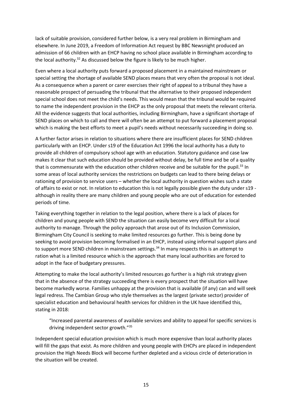lack of suitable provision, considered further below, is a very real problem in Birmingham and elsewhere. In June 2019, a Freedom of Information Act request by BBC Newsnight produced an admission of 66 children with an EHCP having no school place available in Birmingham according to the local authority.<sup>32</sup> As discussed below the figure is likely to be much higher.

Even where a local authority puts forward a proposed placement in a maintained mainstream or special setting the shortage of available SEND places means that very often the proposal is not ideal. As a consequence when a parent or carer exercises their right of appeal to a tribunal they have a reasonable prospect of persuading the tribunal that the alternative to their proposed independent special school does not meet the child's needs. This would mean that the tribunal would be required to name the independent provision in the EHCP as the only proposal that meets the relevant criteria. All the evidence suggests that local authorities, including Birmingham, have a significant shortage of SEND places on which to call and there will often be an attempt to put forward a placement proposal which is making the best efforts to meet a pupil's needs without necessarily succeeding in doing so.

A further factor arises in relation to situations where there are insufficient places for SEND children particularly with an EHCP. Under s19 of the Education Act 1996 the local authority has a duty to provide all children of compulsory school age with an education. Statutory guidance and case law makes it clear that such education should be provided without delay, be full time and be of a quality that is commensurate with the education other children receive and be suitable for the pupil.<sup>33</sup> In some areas of local authority services the restrictions on budgets can lead to there being delays or rationing of provision to service users – whether the local authority in question wishes such a state of affairs to exist or not. In relation to education this is not legally possible given the duty under s19 although in reality there are many children and young people who are out of education for extended periods of time.

Taking everything together in relation to the legal position, where there is a lack of places for children and young people with SEND the situation can easily become very difficult for a local authority to manage. Through the policy approach that arose out of its Inclusion Commission, Birmingham City Council is seeking to make limited resources go further. This is being done by seeking to avoid provision becoming formalised in an EHCP, instead using informal support plans and to support more SEND children in mainstream settings.<sup>34</sup> In many respects this is an attempt to ration what is a limited resource which is the approach that many local authorities are forced to adopt in the face of budgetary pressures.

Attempting to make the local authority's limited resources go further is a high risk strategy given that in the absence of the strategy succeeding there is every prospect that the situation will have become markedly worse. Families unhappy at the provision that is available (if any) can and will seek legal redress. The Cambian Group who style themselves as the largest (private sector) provider of specialist education and behavioural health services for children in the UK have identified this, stating in 2018:

"Increased parental awareness of available services and ability to appeal for specific services is driving independent sector growth."<sup>35</sup>

Independent special education provision which is much more expensive than local authority places will fill the gaps that exist. As more children and young people with EHCPs are placed in independent provision the High Needs Block will become further depleted and a vicious circle of deterioration in the situation will be created.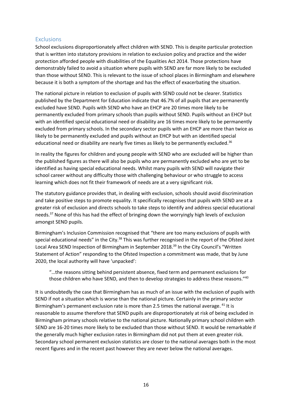#### <span id="page-16-0"></span>**Exclusions**

School exclusions disproportionately affect children with SEND. This is despite particular protection that is written into statutory provisions in relation to exclusion policy and practice and the wider protection afforded people with disabilities of the Equalities Act 2014. Those protections have demonstrably failed to avoid a situation where pupils with SEND are far more likely to be excluded than those without SEND. This is relevant to the issue of school places in Birmingham and elsewhere because it is both a symptom of the shortage and has the effect of exacerbating the situation.

The national picture in relation to exclusion of pupils with SEND could not be clearer. Statistics published by the Department for Education indicate that 46.7% of all pupils that are permanently excluded have SEND. Pupils with SEND who have an EHCP are 20 times more likely to be permanently excluded from primary schools than pupils without SEND. Pupils without an EHCP but with an identified special educational need or disability are 16 times more likely to be permanently excluded from primary schools. In the secondary sector pupils with an EHCP are more than twice as likely to be permanently excluded and pupils without an EHCP but with an identified special educational need or disability are nearly five times as likely to be permanently excluded.<sup>36</sup>

In reality the figures for children and young people with SEND who are excluded will be higher than the published figures as there will also be pupils who are permanently excluded who are yet to be identified as having special educational needs. Whilst many pupils with SEND will navigate their school career without any difficulty those with challenging behaviour or who struggle to access learning which does not fit their framework of needs are at a very significant risk.

The statutory guidance provides that, in dealing with exclusion, schools should avoid discrimination and take positive steps to promote equality. It specifically recognises that pupils with SEND are at a greater risk of exclusion and directs schools to take steps to identify and address special educational needs.<sup>37</sup> None of this has had the effect of bringing down the worryingly high levels of exclusion amongst SEND pupils.

Birmingham's Inclusion Commission recognised that "there are too many exclusions of pupils with special educational needs" in the City.<sup>38</sup> This was further recognised in the report of the Ofsted Joint Local Area SEND Inspection of Birmingham in September 2018.<sup>39</sup> In the City Council's "Written Statement of Action" responding to the Ofsted Inspection a commitment was made, that by June 2020, the local authority will have 'unpacked':

"…the reasons sitting behind persistent absence, fixed term and permanent exclusions for those children who have SEND, and then to develop strategies to address these reasons."<sup>40</sup>

It is undoubtedly the case that Birmingham has as much of an issue with the exclusion of pupils with SEND if not a situation which is worse than the national picture. Certainly in the primary sector Birmingham's permanent exclusion rate is more than 2.5 times the national average. <sup>41</sup> It is reasonable to assume therefore that SEND pupils are disproportionately at risk of being excluded in Birmingham primary schools relative to the national picture. Nationally primary school children with SEND are 16-20 times more likely to be excluded than those without SEND. It would be remarkable if the generally much higher exclusion rates in Birmingham did not put them at even greater risk. Secondary school permanent exclusion statistics are closer to the national averages both in the most recent figures and in the recent past however they are never below the national averages.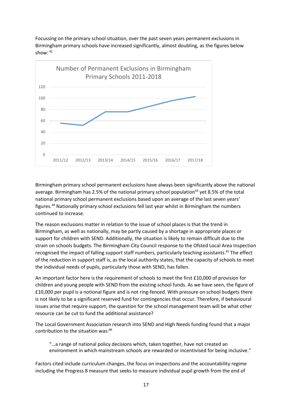Focussing on the primary school situation, over the past seven years permanent exclusions in Birmingham primary schools have increased significantly, almost doubling, as the figures below show:  $42$ 



Birmingham primary school permanent exclusions have always been significantly above the national average. Birmingham has 2.5% of the national primary school population<sup>43</sup> yet 8.5% of the total national primary school permanent exclusions based upon an average of the last seven years' figures.<sup>44</sup> Nationally primary school exclusions fell last year whilst in Birmingham the numbers continued to increase.

The reason exclusions matter in relation to the issue of school places is that the trend in Birmingham, as well as nationally, may be partly caused by a shortage in appropriate places or support for children with SEND. Additionally, the situation is likely to remain difficult due to the strain on schools budgets. The Birmingham City Council response to the Ofsted Local Area Inspection recognised the impact of falling support staff numbers, particularly teaching assistants.<sup>45</sup> The effect of the reduction in support staff is, as the local authority states, that the capacity of schools to meet the individual needs of pupils, particularly those with SEND, has fallen.

An important factor here is the requirement of schools to meet the first £10,000 of provision for children and young people with SEND from the existing school funds. As we have seen, the figure of £10,000 per pupil is a notional figure and is not ring-fenced. With pressure on school budgets there is not likely to be a significant reserved fund for contingencies that occur. Therefore, if behavioural issues arise that require support, the question for the school management team will be what other resource can be cut to fund the additional assistance?

The Local Government Association research into SEND and High Needs funding found that a major contribution to the situation was:<sup>46</sup>

"…a range of national policy decisions which, taken together, have not created an environment in which mainstream schools are rewarded or incentivised for being inclusive."

Factors cited include curriculum changes, the focus on inspections and the accountability regime including the Progress 8 measure that seeks to measure individual pupil growth from the end of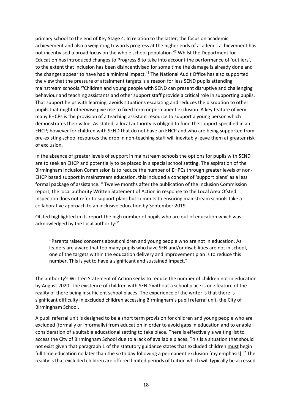primary school to the end of Key Stage 4. In relation to the latter, the focus on academic achievement and also a weighting towards progress at the higher ends of academic achievement has not incentivised a broad focus on the whole school population. <sup>47</sup> Whilst the Department for Education has introduced changes to Progress 8 to take into account the performance of 'outliers', to the extent that inclusion has been disincentivised for some time the damage is already done and the changes appear to have had a minimal impact.<sup>48</sup> The National Audit Office has also supported the view that the pressure of attainment targets is a reason for less SEND pupils attending mainstream schools.<sup>49</sup>Children and young people with SEND can present disruptive and challenging behaviour and teaching assistants and other support staff provide a critical role in supporting pupils. That support helps with learning, avoids situations escalating and reduces the disruption to other pupils that might otherwise give rise to fixed term or permanent exclusion. A key feature of very many EHCPs is the provision of a teaching assistant resource to support a young person which demonstrates their value. As stated, a local authority is obliged to fund the support specified in an EHCP; however for children with SEND that do not have an EHCP and who are being supported from pre-existing school resources the drop in non-teaching staff will inevitably leave them at greater risk of exclusion.

In the absence of greater levels of support in mainstream schools the options for pupils with SEND are to seek an EHCP and potentially to be placed in a special school setting. The aspiration of the Birmingham Inclusion Commission is to reduce the number of EHPCs through greater levels of non-EHCP based support in mainstream education, this included a concept of 'support plans' as a less formal package of assistance.<sup>50</sup> Twelve months after the publication of the Inclusion Commission report, the local authority Written Statement of Action in response to the Local Area Ofsted Inspection does not refer to support plans but commits to ensuring mainstream schools take a collaborative approach to an inclusive education by September 2019.

Ofsted highlighted in its report the high number of pupils who are out of education which was acknowledged by the local authority:<sup>51</sup>

"Parents raised concerns about children and young people who are not in education. As leaders are aware that too many pupils who have SEN and/or disabilities are not in school, one of the targets within the education delivery and improvement plan is to reduce this number. This is yet to have a significant and sustained impact."

The authority's Written Statement of Action seeks to reduce the number of children not in education by August 2020. The existence of children with SEND without a school place is one feature of the reality of there being insufficient school places. The experience of the writer is that there is significant difficulty in excluded children accessing Birmingham's pupil referral unit, the City of Birmingham School.

A pupil referral unit is designed to be a short term provision for children and young people who are excluded (formally or informally) from education in order to avoid gaps in education and to enable consideration of a suitable educational setting to take place. There is effectively a waiting list to access the City of Birmingham School due to a lack of available places. This is a situation that should not exist given that paragraph 1 of the statutory guidance states that excluded children must begin full time education no later than the sixth day following a permanent exclusion [my emphasis].<sup>52</sup> The reality is that excluded children are offered limited periods of tuition which will typically be accessed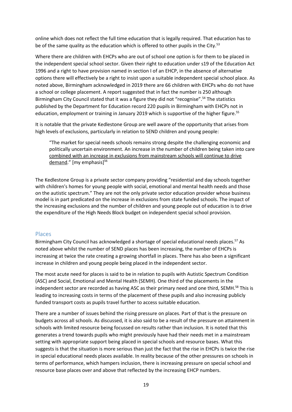online which does not reflect the full time education that is legally required. That education has to be of the same quality as the education which is offered to other pupils in the City.<sup>53</sup>

Where there are children with EHCPs who are out of school one option is for them to be placed in the independent special school sector. Given their right to education under s19 of the Education Act 1996 and a right to have provision named in section I of an EHCP, in the absence of alternative options there will effectively be a right to insist upon a suitable independent special school place. As noted above, Birmingham acknowledged in 2019 there are 66 children with EHCPs who do not have a school or college placement. A report suggested that in fact the number is 250 although Birmingham City Council stated that it was a figure they did not "recognise".<sup>54</sup> The statistics published by the Department for Education record 220 pupils in Birmingham with EHCPs not in education, employment or training in January 2019 which is supportive of the higher figure.<sup>55</sup>

It is notable that the private Kedlestone Group are well aware of the opportunity that arises from high levels of exclusions, particularly in relation to SEND children and young people:

"The market for special needs schools remains strong despite the challenging economic and politically uncertain environment. An increase in the number of children being taken into care combined with an increase in exclusions from mainstream schools will continue to drive demand." [my emphasis]<sup>56</sup>

The Kedlestone Group is a private sector company providing "residential and day schools together with children's homes for young people with social, emotional and mental health needs and those on the autistic spectrum." They are not the only private sector education provider whose business model is in part predicated on the increase in exclusions from state funded schools. The impact of the increasing exclusions and the number of children and young people out of education is to drive the expenditure of the High Needs Block budget on independent special school provision.

#### <span id="page-19-0"></span>Places

Birmingham City Council has acknowledged a shortage of special educational needs places.<sup>57</sup> As noted above whilst the number of SEND places has been increasing, the number of EHCPs is increasing at twice the rate creating a growing shortfall in places. There has also been a significant increase in children and young people being placed in the independent sector.

The most acute need for places is said to be in relation to pupils with Autistic Spectrum Condition (ASC) and Social, Emotional and Mental Health (SEMH). One third of the placements in the independent sector are recorded as having ASC as their primary need and one third, SEMH.<sup>58</sup> This is leading to increasing costs in terms of the placement of these pupils and also increasing publicly funded transport costs as pupils travel further to access suitable education.

There are a number of issues behind the rising pressure on places. Part of that is the pressure on budgets across all schools. As discussed, it is also said to be a result of the pressure on attainment in schools with limited resource being focussed on results rather than inclusion. It is noted that this generates a trend towards pupils who might previously have had their needs met in a mainstream setting with appropriate support being placed in special schools and resource bases. What this suggests is that the situation is more serious than just the fact that the rise in EHCPs is twice the rise in special educational needs places available. In reality because of the other pressures on schools in terms of performance, which hampers inclusion, there is increasing pressure on special school and resource base places over and above that reflected by the increasing EHCP numbers.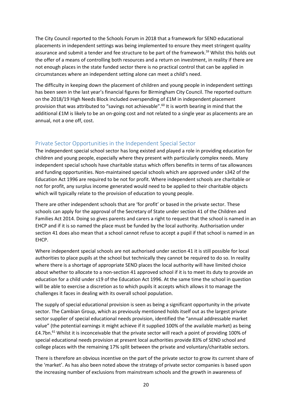The City Council reported to the Schools Forum in 2018 that a framework for SEND educational placements in independent settings was being implemented to ensure they meet stringent quality assurance and submit a tender and fee structure to be part of the framework.<sup>59</sup> Whilst this holds out the offer of a means of controlling both resources and a return on investment, in reality if there are not enough places in the state funded sector there is no practical control that can be applied in circumstances where an independent setting alone can meet a child's need.

The difficulty in keeping down the placement of children and young people in independent settings has been seen in the last year's financial figures for Birmingham City Council. The reported outturn on the 2018/19 High Needs Block included overspending of £1M in independent placement provision that was attributed to "savings not achievable".<sup>60</sup> It is worth bearing in mind that the additional £1M is likely to be an on-going cost and not related to a single year as placements are an annual, not a one off, cost.

#### <span id="page-20-0"></span>Private Sector Opportunities in the Independent Special Sector

The independent special school sector has long existed and played a role in providing education for children and young people, especially where they present with particularly complex needs. Many independent special schools have charitable status which offers benefits in terms of tax allowances and funding opportunities. Non-maintained special schools which are approved under s342 of the Education Act 1996 are required to be not for profit. Where independent schools are charitable or not for profit, any surplus income generated would need to be applied to their charitable objects which will typically relate to the provision of education to young people.

There are other independent schools that are 'for profit' or based in the private sector. These schools can apply for the approval of the Secretary of State under section 41 of the Children and Families Act 2014. Doing so gives parents and carers a right to request that the school is named in an EHCP and if it is so named the place must be funded by the local authority. Authorisation under section 41 does also mean that a school cannot refuse to accept a pupil if that school is named in an EHCP.

Where independent special schools are not authorised under section 41 it is still possible for local authorities to place pupils at the school but technically they cannot be required to do so. In reality where there is a shortage of appropriate SEND places the local authority will have limited choice about whether to allocate to a non-section 41 approved school if it is to meet its duty to provide an education for a child under s19 of the Education Act 1996. At the same time the school in question will be able to exercise a discretion as to which pupils it accepts which allows it to manage the challenges it faces in dealing with its overall school population.

The supply of special educational provision is seen as being a significant opportunity in the private sector. The Cambian Group, which as previously mentioned holds itself out as the largest private sector supplier of special educational needs provision, identified the "annual addressable market value" (the potential earnings it might achieve if it supplied 100% of the available market) as being £4.7bn. <sup>61</sup> Whilst it is inconceivable that the private sector will reach a point of providing 100% of special educational needs provision at present local authorities provide 83% of SEND school and college places with the remaining 17% split between the private and voluntary/charitable sectors.

There is therefore an obvious incentive on the part of the private sector to grow its current share of the 'market'. As has also been noted above the strategy of private sector companies is based upon the increasing number of exclusions from mainstream schools and the growth in awareness of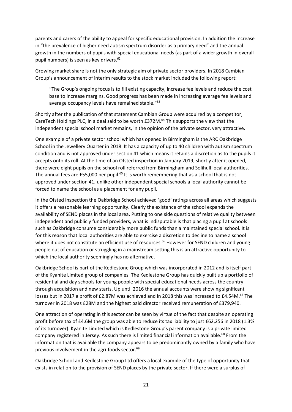parents and carers of the ability to appeal for specific educational provision. In addition the increase in "the prevalence of higher need autism spectrum disorder as a primary need" and the annual growth in the numbers of pupils with special educational needs (as part of a wider growth in overall pupil numbers) is seen as key drivers. 62

Growing market share is not the only strategic aim of private sector providers. In 2018 Cambian Group's announcement of interim results to the stock market included the following report:

"The Group's ongoing focus is to fill existing capacity, increase fee levels and reduce the cost base to increase margins. Good progress has been made in increasing average fee levels and average occupancy levels have remained stable."<sup>63</sup>

Shortly after the publication of that statement Cambian Group were acquired by a competitor, CareTech Holdings PLC, in a deal said to be worth £372M.<sup>64</sup> This supports the view that the independent special school market remains, in the opinion of the private sector, very attractive.

One example of a private sector school which has opened in Birmingham is the ARC Oakbridge School in the Jewellery Quarter in 2018. It has a capacity of up to 40 children with autism spectrum condition and is not approved under section 41 which means it retains a discretion as to the pupils it accepts onto its roll. At the time of an Ofsted inspection in January 2019, shortly after it opened, there were eight pupils on the school roll referred from Birmingham and Solihull local authorities. The annual fees are £55,000 per pupil.<sup>65</sup> It is worth remembering that as a school that is not approved under section 41, unlike other independent special schools a local authority cannot be forced to name the school as a placement for any pupil.

In the Ofsted inspection the Oakbridge School achieved 'good' ratings across all areas which suggests it offers a reasonable learning opportunity. Clearly the existence of the school expands the availability of SEND places in the local area. Putting to one side questions of relative quality between independent and publicly funded providers, what is indisputable is that placing a pupil at schools such as Oakbridge consume considerably more public funds than a maintained special school. It is for this reason that local authorities are able to exercise a discretion to decline to name a school where it does not constitute an efficient use of resources.<sup>66</sup> However for SEND children and young people out of education or struggling in a mainstream setting this is an attractive opportunity to which the local authority seemingly has no alternative.

Oakbridge School is part of the Kedlestone Group which was incorporated in 2012 and is itself part of the Kyanite Limited group of companies. The Kedlestone Group has quickly built up a portfolio of residential and day schools for young people with special educational needs across the country through acquisition and new starts. Up until 2016 the annual accounts were showing significant losses but in 2017 a profit of £2.87M was achieved and in 2018 this was increased to £4.54M.<sup>67</sup> The turnover in 2018 was £28M and the highest paid director received remuneration of £379,940.

One attraction of operating in this sector can be seen by virtue of the fact that despite an operating profit before tax of £4.6M the group was able to reduce its tax liability to just £62,256 in 2018 (1.3% of its turnover). Kyanite Limited which is Kedlestone Group's parent company is a private limited company registered in Jersey. As such there is limited financial information available.<sup>68</sup> From the information that is available the company appears to be predominantly owned by a family who have previous involvement in the agri-foods sector.<sup>69</sup>

Oakbridge School and Kedlestone Group Ltd offers a local example of the type of opportunity that exists in relation to the provision of SEND places by the private sector. If there were a surplus of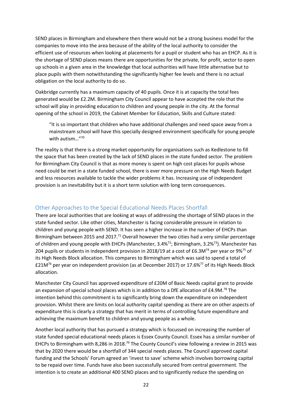SEND places in Birmingham and elsewhere then there would not be a strong business model for the companies to move into the area because of the ability of the local authority to consider the efficient use of resources when looking at placements for a pupil or student who has an EHCP. As it is the shortage of SEND places means there are opportunities for the private, for profit, sector to open up schools in a given area in the knowledge that local authorities will have little alternative but to place pupils with them notwithstanding the significantly higher fee levels and there is no actual obligation on the local authority to do so.

Oakbridge currently has a maximum capacity of 40 pupils. Once it is at capacity the total fees generated would be £2.2M. Birmingham City Council appear to have accepted the role that the school will play in providing education to children and young people in the city. At the formal opening of the school in 2019, the Cabinet Member for Education, Skills and Culture stated:

"It is so important that children who have additional challenges and need space away from a mainstream school will have this specially designed environment specifically for young people with autism…"<sup>70</sup>

The reality is that there is a strong market opportunity for organisations such as Kedlestone to fill the space that has been created by the lack of SEND places in the state funded sector. The problem for Birmingham City Council is that as more money is spent on high cost places for pupils whose need could be met in a state funded school, there is ever more pressure on the High Needs Budget and less resources available to tackle the wider problems it has. Increasing use of independent provision is an inevitability but it is a short term solution with long term consequences.

#### <span id="page-22-0"></span>Other Approaches to the Special Educational Needs Places Shortfall

There are local authorities that are looking at ways of addressing the shortage of SEND places in the state funded sector. Like other cities, Manchester is facing considerable pressure in relation to children and young people with SEND. It has seen a higher increase in the number of EHCPs than Birmingham between 2015 and 2017.<sup>71</sup> Overall however the two cities had a very similar percentage of children and young people with EHCPs (Manchester, 3.4%<sup>72</sup>; Birmingham, 3.2%<sup>73</sup>). Manchester has 204 pupils or students in independent provision in 2018/19 at a cost of £6.3M<sup>74</sup> per year or 9%<sup>75</sup> of its High Needs Block allocation. This compares to Birmingham which was said to spend a total of  $£21M^{76}$  per year on independent provision (as at December 2017) or 17.6%<sup>77</sup> of its High Needs Block allocation.

Manchester City Council has approved expenditure of £20M of Basic Needs capital grant to provide an expansion of special school places which is in addition to a DfE allocation of £4.9M.<sup>78</sup> The intention behind this commitment is to significantly bring down the expenditure on independent provision. Whilst there are limits on local authority capital spending as there are on other aspects of expenditure this is clearly a strategy that has merit in terms of controlling future expenditure and achieving the maximum benefit to children and young people as a whole.

Another local authority that has pursued a strategy which is focussed on increasing the number of state funded special educational needs places is Essex County Council. Essex has a similar number of EHCPs to Birmingham with 8,286 in 2018.<sup>79</sup> The County Council's view following a review in 2015 was that by 2020 there would be a shortfall of 344 special needs places. The Council approved capital funding and the Schools' Forum agreed an 'invest to save' scheme which involves borrowing capital to be repaid over time. Funds have also been successfully secured from central government. The intention is to create an additional 400 SEND places and to significantly reduce the spending on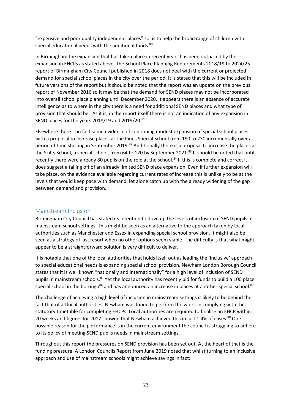"expensive and poor quality independent places" so as to help the broad range of children with special educational needs with the additional funds.<sup>80</sup>

In Birmingham the expansion that has taken place in recent years has been outpaced by the expansion in EHCPs as stated above. The School Place Planning Requirements 2018/19 to 2024/25 report of Birmingham City Council published in 2018 does not deal with the current or projected demand for special school places in the city over the period. It is stated that this will be included in future versions of the report but it should be noted that the report was an update on the previous report of November 2016 so it may be that the demand for SEND places may not be incorporated into overall school place planning until December 2020. It appears there is an absence of accurate intelligence as to where in the city there is a need for additional SEND places and what type of provision that should be. As it is, in the report itself there is not an indication of any expansion in SEND places for the years 2018/19 and 2019/20.81

Elsewhere there is in fact some evidence of continuing modest expansion of special school places with a proposal to increase places at the Pines Special School from 190 to 230 incrementally over a period of time starting in September 2019.<sup>82</sup> Additionally there is a proposal to increase the places at the Skilts School, a special school, from 64 to 120 by September 2021.<sup>83</sup> It should be noted that until recently there were already 80 pupils on the role at the school.<sup>84</sup> If this is complete and correct it does suggest a tailing off of an already limited SEND place expansion. Even if further expansion will take place, on the evidence available regarding current rates of increase this is unlikely to be at the levels that would keep pace with demand, let alone catch up with the already widening of the gap between demand and provision.

#### <span id="page-23-0"></span>Mainstream Inclusion

Birmingham City Council has stated its intention to drive up the levels of inclusion of SEND pupils in mainstream school settings. This might be seen as an alternative to the approach taken by local authorities such as Manchester and Essex in expanding special school provision. It might also be seen as a strategy of last resort when no other options seem viable. The difficulty is that what might appear to be a straightforward solution is very difficult to deliver.

It is notable that one of the local authorities that holds itself out as leading the 'inclusive' approach to special educational needs is expanding special school provision. Newham London Borough Council states that it is well known "nationally and internationally" for a high level of inclusion of SEND pupils in mainstream schools.<sup>85</sup> Yet the local authority has recently bid for funds to build a 100 place special school in the borough<sup>86</sup> and has announced an increase in places at another special school.<sup>87</sup>

The challenge of achieving a high level of inclusion in mainstream settings is likely to be behind the fact that of all local authorities, Newham was found to perform the worst in complying with the statutory timetable for completing EHCPs. Local authorities are required to finalise an EHCP within 20 weeks and figures for 2017 showed that Newham achieved this in just 1.4% of cases.<sup>88</sup> One possible reason for the performance is in the current environment the council is struggling to adhere to its policy of meeting SEND pupils needs in mainstream settings.

Throughout this report the pressures on SEND provision has been set out. At the heart of that is the funding pressure. A London Councils Report from June 2019 noted that whilst turning to an inclusive approach and use of mainstream schools might achieve savings in fact: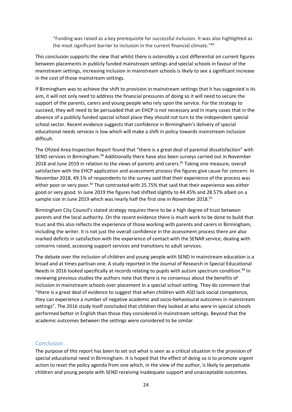"Funding was raised as a key prerequisite for successful inclusion. It was also highlighted as the most significant barrier to inclusion in the current financial climate."<sup>89</sup>

This conclusion supports the view that whilst there is ostensibly a cost differential on current figures between placements in publicly funded mainstream settings and special schools in favour of the mainstream settings, increasing inclusion in mainstream schools is likely to see a significant increase in the cost of those mainstream settings.

If Birmingham was to achieve the shift to provision in mainstream settings that it has suggested is its aim, it will not only need to address the financial pressures of doing so it will need to secure the support of the parents, carers and young people who rely upon the service. For the strategy to succeed, they will need to be persuaded that an EHCP is not necessary and in many cases that in the absence of a publicly funded special school place they should not turn to the independent special school sector. Recent evidence suggests that confidence in Birmingham's delivery of special educational needs services is low which will make a shift in policy towards mainstream inclusion difficult.

The Ofsted Area Inspection Report found that "there is a great deal of parental dissatisfaction" with SEND services in Birmingham.<sup>90</sup> Additionally there have also been surveys carried out in November 2018 and June 2019 in relation to the views of parents and carers.<sup>91</sup> Taking one measure, overall satisfaction with the EHCP application and assessment process the figures give cause for concern. In November 2018, 49.1% of respondents to the survey said that their experience of the process was either poor or very poor.<sup>92</sup> That contrasted with 25.75% that said that their experience was either good or very good. In June 2019 the figures had shifted slightly to 44.45% and 28.57% albeit on a sample size in June 2019 which was nearly half the first one in November 2018.<sup>93</sup>

Birmingham City Council's stated strategy requires there to be a high degree of trust between parents and the local authority. On the recent evidence there is much work to be done to build that trust and this also reflects the experience of those working with parents and carers in Birmingham, including the writer. It is not just the overall confidence in the assessment process there are also marked deficits in satisfaction with the experience of contact with the SENAR service, dealing with concerns raised, accessing support services and transitions to adult services.

The debate over the inclusion of children and young people with SEND in mainstream education is a broad and at times partisan one. A study reported in the Journal of Research in Special Educational Needs in 2016 looked specifically at records relating to pupils with autism spectrum condition.<sup>94</sup> In reviewing previous studies the authors note that there is no consensus about the benefits of inclusion in mainstream schools over placement in a special school setting. They do comment that "there is a great deal of evidence to suggest that when children with ASD lack social competence, they can experience a number of negative academic and socio‐behavioural outcomes in mainstream settings". The 2016 study itself concluded that children they looked at who were in special schools performed better in English than those they considered in mainstream settings. Beyond that the academic outcomes between the settings were considered to be similar.

#### <span id="page-24-0"></span>Conclusion

The purpose of this report has been to set out what is seen as a critical situation in the provision of special educational need in Birmingham. It is hoped that the effect of doing so is to promote urgent action to reset the policy agenda from one which, in the view of the author, is likely to perpetuate children and young people with SEND receiving inadequate support and unacceptable outcomes.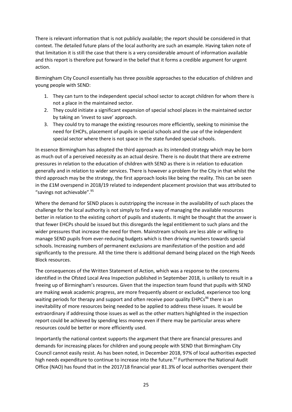There is relevant information that is not publicly available; the report should be considered in that context. The detailed future plans of the local authority are such an example. Having taken note of that limitation it is still the case that there is a very considerable amount of information available and this report is therefore put forward in the belief that it forms a credible argument for urgent action.

Birmingham City Council essentially has three possible approaches to the education of children and young people with SEND:

- 1. They can turn to the independent special school sector to accept children for whom there is not a place in the maintained sector.
- 2. They could initiate a significant expansion of special school places in the maintained sector by taking an 'invest to save' approach.
- 3. They could try to manage the existing resources more efficiently, seeking to minimise the need for EHCPs, placement of pupils in special schools and the use of the independent special sector where there is not space in the state funded special schools.

In essence Birmingham has adopted the third approach as its intended strategy which may be born as much out of a perceived necessity as an actual desire. There is no doubt that there are extreme pressures in relation to the education of children with SEND as there is in relation to education generally and in relation to wider services. There is however a problem for the City in that whilst the third approach may be the strategy, the first approach looks like being the reality. This can be seen in the £1M overspend in 2018/19 related to independent placement provision that was attributed to "savings not achievable".<sup>95</sup>

Where the demand for SEND places is outstripping the increase in the availability of such places the challenge for the local authority is not simply to find a way of managing the available resources better in relation to the existing cohort of pupils and students. It might be thought that the answer is that fewer EHCPs should be issued but this disregards the legal entitlement to such plans and the wider pressures that increase the need for them. Mainstream schools are less able or willing to manage SEND pupils from ever-reducing budgets which is then driving numbers towards special schools. Increasing numbers of permanent exclusions are manifestation of the position and add significantly to the pressure. All the time there is additional demand being placed on the High Needs Block resources.

The consequences of the Written Statement of Action, which was a response to the concerns identified in the Ofsted Local Area Inspection published in September 2018, is unlikely to result in a freeing up of Birmingham's resources. Given that the inspection team found that pupils with SEND are making weak academic progress, are more frequently absent or excluded, experience too long waiting periods for therapy and support and often receive poor quality EHPCs<sup>96</sup> there is an inevitability of more resources being needed to be applied to address these issues. It would be extraordinary if addressing those issues as well as the other matters highlighted in the inspection report could be achieved by spending less money even if there may be particular areas where resources could be better or more efficiently used.

Importantly the national context supports the argument that there are financial pressures and demands for increasing places for children and young people with SEND that Birmingham City Council cannot easily resist. As has been noted, in December 2018, 97% of local authorities expected high needs expenditure to continue to increase into the future.<sup>97</sup> Furthermore the National Audit Office (NAO) has found that in the 2017/18 financial year 81.3% of local authorities overspent their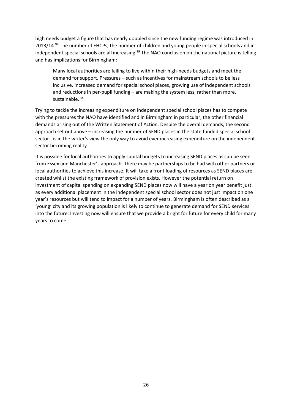high needs budget a figure that has nearly doubled since the new funding regime was introduced in 2013/14.<sup>98</sup> The number of EHCPs, the number of children and young people in special schools and in independent special schools are all increasing.<sup>99</sup> The NAO conclusion on the national picture is telling and has implications for Birmingham:

Many local authorities are failing to live within their high-needs budgets and meet the demand for support. Pressures – such as incentives for mainstream schools to be less inclusive, increased demand for special school places, growing use of independent schools and reductions in per-pupil funding – are making the system less, rather than more, sustainable.<sup>100</sup>

Trying to tackle the increasing expenditure on independent special school places has to compete with the pressures the NAO have identified and in Birmingham in particular, the other financial demands arising out of the Written Statement of Action. Despite the overall demands, the second approach set out above – increasing the number of SEND places in the state funded special school sector - is in the writer's view the only way to avoid ever increasing expenditure on the independent sector becoming reality.

It is possible for local authorities to apply capital budgets to increasing SEND places as can be seen from Essex and Manchester's approach. There may be partnerships to be had with other partners or local authorities to achieve this increase. It will take a front loading of resources as SEND places are created whilst the existing framework of provision exists. However the potential return on investment of capital spending on expanding SEND places now will have a year on year benefit just as every additional placement in the independent special school sector does not just impact on one year's resources but will tend to impact for a number of years. Birmingham is often described as a 'young' city and its growing population is likely to continue to generate demand for SEND services into the future. Investing now will ensure that we provide a bright for future for every child for many years to come.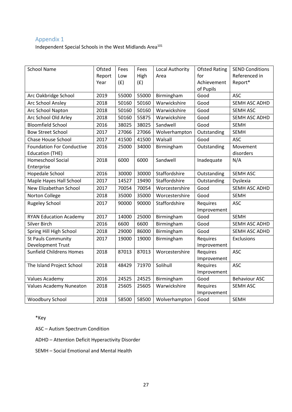#### <span id="page-27-0"></span>Appendix 1

Independent Special Schools in the West Midlands Area<sup>101</sup>

| <b>School Name</b>               | Ofsted | Fees  | Fees  | Local Authority | <b>Ofsted Rating</b> | <b>SEND Conditions</b> |
|----------------------------------|--------|-------|-------|-----------------|----------------------|------------------------|
|                                  | Report | Low   | High  | Area            | for                  | Referenced in          |
|                                  | Year   | (f)   | (f)   |                 | Achievement          | Report*                |
|                                  |        |       |       |                 | of Pupils            |                        |
| Arc Oakbridge School             | 2019   | 55000 | 55000 | Birmingham      | Good                 | <b>ASC</b>             |
| Arc School Ansley                | 2018   | 50160 | 50160 | Warwickshire    | Good                 | SEMH ASC ADHD          |
| Arc School Napton                | 2018   | 50160 | 50160 | Warwickshire    | Good                 | <b>SEMH ASC</b>        |
| Arc School Old Arley             | 2018   | 50160 | 55875 | Warwickshire    | Good                 | SEMH ASC ADHD          |
| <b>Bloomfield School</b>         | 2016   | 38025 | 38025 | Sandwell        | Good                 | <b>SEMH</b>            |
| <b>Bow Street School</b>         | 2017   | 27066 | 27066 | Wolverhampton   | Outstanding          | <b>SEMH</b>            |
| <b>Chase House School</b>        | 2017   | 41500 | 41500 | Walsall         | Good                 | <b>ASC</b>             |
| <b>Foundation For Conductive</b> | 2016   | 25000 | 34000 | Birmingham      | Outstanding          | Movement               |
| <b>Education (THE)</b>           |        |       |       |                 |                      | disorders              |
| <b>Homeschool Social</b>         | 2018   | 6000  | 6000  | Sandwell        | Inadequate           | N/A                    |
| Enterprise                       |        |       |       |                 |                      |                        |
| Hopedale School                  | 2016   | 30000 | 30000 | Staffordshire   | Outstanding          | <b>SEMH ASC</b>        |
| Maple Hayes Hall School          | 2017   | 14527 | 19490 | Staffordshire   | Outstanding          | Dyslexia               |
| New Elizabethan School           | 2017   | 70054 | 70054 | Worcestershire  | Good                 | SEMH ASC ADHD          |
| Norton College                   | 2018   | 35000 | 35000 | Worcestershire  | Good                 | <b>SEMH</b>            |
| <b>Rugeley School</b>            | 2017   | 90000 | 90000 | Staffordshire   | Requires             | <b>ASC</b>             |
|                                  |        |       |       |                 | Improvement          |                        |
| <b>RYAN Education Academy</b>    | 2017   | 14000 | 25000 | Birmingham      | Good                 | <b>SEMH</b>            |
| Silver Birch                     | 2016   | 6600  | 6600  | Birmingham      | Good                 | SEMH ASC ADHD          |
| Spring Hill High School          | 2018   | 29000 | 86000 | Birmingham      | Good                 | SEMH ASC ADHD          |
| <b>St Pauls Community</b>        | 2017   | 19000 | 19000 | Birmingham      | Requires             | Exclusions             |
| <b>Development Trust</b>         |        |       |       |                 | Improvement          |                        |
| <b>Sunfield Childrens Homes</b>  | 2018   | 87013 | 87013 | Worcestershire  | Requires             | <b>ASC</b>             |
|                                  |        |       |       |                 | Improvement          |                        |
| The Island Project School        | 2018   | 48429 | 71970 | Solihull        | Requires             | <b>ASC</b>             |
|                                  |        |       |       |                 | Improvement          |                        |
| Values Academy                   | 2016   | 24525 | 24525 | Birmingham      | Good                 | <b>Behaviour ASC</b>   |
| <b>Values Academy Nuneaton</b>   | 2018   | 25605 | 25605 | Warwickshire    | Requires             | <b>SEMH ASC</b>        |
|                                  |        |       |       |                 | Improvement          |                        |
| Woodbury School                  | 2018   | 58500 | 58500 | Wolverhampton   | Good                 | <b>SEMH</b>            |

#### \*Key

ASC – Autism Spectrum Condition

ADHD – Attention Deficit Hyperactivity Disorder

SEMH – Social Emotional and Mental Health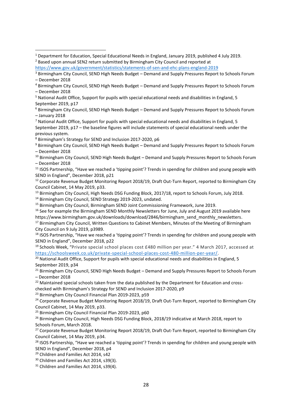<sup>8</sup> Birmingham's Strategy for SEND and Inclusion 2017-2020, p6

<sup>9</sup> Birmingham City Council, SEND High Needs Budget – Demand and Supply Pressures Report to Schools Forum – December 2018

<sup>10</sup> Birmingham City Council, SEND High Needs Budget - Demand and Supply Pressures Report to Schools Forum – December 2018

<sup>11</sup> ISOS Partnership, "Have we reached a 'tipping point'? Trends in spending for children and young people with SEND in England", December 2018, p21

<sup>12</sup> Corporate Revenue Budget Monitoring Report 2018/19, Draft Out-Turn Report, reported to Birmingham City Council Cabinet, 14 May 2019, p33.

<sup>13</sup> Birmingham City Council, High Needs DSG Funding Block, 2017/18, report to Schools Forum, July 2018.

<sup>14</sup> Birmingham City Council, SEND Strategy 2019-2023, undated.

<sup>15</sup> Birmingham City Council, Birmingham SEND Joint Commissioning Framework, June 2019.

<sup>16</sup> See for example the Birmingham SEND Monthly Newsletters for June, July and August 2019 available here https://www.birmingham.gov.uk/downloads/download/2846/birmingham\_send\_monthly\_newsletters.

<sup>17</sup> Birmimgham City Council, Written Questions to Cabinet Members, Minutes of the Meeting of Birmingham City Council on 9 July 2019, p3989.

<sup>18</sup> ISOS Partnership, "Have we reached a 'tipping point'? Trends in spending for children and young people with SEND in England", December 2018, p22

<sup>19</sup> Schools Week, "Private special school places cost £480 million per year." 4 March 2017, accessed at [https://schoolsweek.co.uk/private-special-school-places-cost-480-million-per-year/.](https://schoolsweek.co.uk/private-special-school-places-cost-480-million-per-year/)

 $20$  National Audit Office, Support for pupils with special educational needs and disabilities in England, 5 September 2019, p34

<sup>21</sup> Birmingham City Council, SEND High Needs Budget – Demand and Supply Pressures Report to Schools Forum – December 2018

<sup>22</sup> Maintained special schools taken from the data published by the Department for Education and crosschecked with Birmingham's Strategy for SEND and Inclusion 2017-2020, p9

<sup>23</sup> Birmingham City Council Financial Plan 2019-2023, p59

<sup>24</sup> Corporate Revenue Budget Monitoring Report 2018/19, Draft Out-Turn Report, reported to Birmingham City Council Cabinet, 14 May 2019, p33.

<sup>25</sup> Birmingham City Council Financial Plan 2019-2023, p60

<sup>26</sup> Birmingham City Council, High Needs DSG Funding Block, 2018/19 indicative at March 2018, report to Schools Forum, March 2018.

<sup>27</sup> Corporate Revenue Budget Monitoring Report 2018/19, Draft Out-Turn Report, reported to Birmingham City Council Cabinet, 14 May 2019, p34.

<sup>28</sup> ISOS Partnership, "Have we reached a 'tipping point'? Trends in spending for children and young people with SEND in England", December 2018, p4

<sup>29</sup> Children and Families Act 2014, s42

<sup>30</sup> Children and Families Act 2014, s39(3).

<sup>31</sup> Children and Families Act 2014, s39(4).

<sup>1</sup> Department for Education, Special Educational Needs in England, January 2019, published 4 July 2019. <sup>2</sup> Based upon annual SEN2 return submitted by Birmingham City Council and reported at

https://www.gov.uk/government/statistics/statements-of-sen-and-ehc-plans-england-2019

<sup>3</sup> Birmingham City Council, SEND High Needs Budget – Demand and Supply Pressures Report to Schools Forum – December 2018

<sup>4</sup> Birmingham City Council, SEND High Needs Budget – Demand and Supply Pressures Report to Schools Forum – December 2018

<sup>5</sup> National Audit Office, Support for pupils with special educational needs and disabilities in England, 5 September 2019, p17

<sup>6</sup> Birmingham City Council, SEND High Needs Budget – Demand and Supply Pressures Report to Schools Forum – January 2018

 $<sup>7</sup>$  National Audit Office, Support for pupils with special educational needs and disabilities in England, 5</sup> September 2019, p17 – the baseline figures will include statements of special educational needs under the previous system.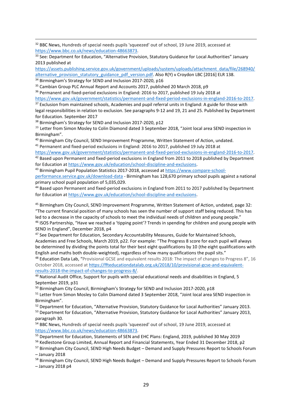<sup>32</sup> BBC News, Hundreds of special needs pupils 'squeezed' out of school, 19 June 2019, accessed at [https://www.bbc.co.uk/news/education-48663873.](https://www.bbc.co.uk/news/education-48663873)

<sup>33</sup> See: Department for Education, "Alternative Provision, Statutory Guidance for Local Authorities" January 2013 published at

[https://assets.publishing.service.gov.uk/government/uploads/system/uploads/attachment\\_data/file/268940/](https://assets.publishing.service.gov.uk/government/uploads/system/uploads/attachment_data/file/268940/alternative_provision_statutory_guidance_pdf_version.pdf) [alternative\\_provision\\_statutory\\_guidance\\_pdf\\_version.pdf.](https://assets.publishing.service.gov.uk/government/uploads/system/uploads/attachment_data/file/268940/alternative_provision_statutory_guidance_pdf_version.pdf) Also R(Y) v Croydon LBC [2016] ELR 138. <sup>34</sup> Birmingham's Strategy for SEND and Inclusion 2017-2020, p16

<sup>35</sup> Cambian Group PLC Annual Report and Accounts 2017, published 20 March 2018, p9

<sup>36</sup> Permanent and fixed-period exclusions in England: 2016 to 2017, published 19 July 2018 at

[https://www.gov.uk/government/statistics/permanent-and-fixed-period-exclusions-in-england-2016-to-2017.](https://www.gov.uk/government/statistics/permanent-and-fixed-period-exclusions-in-england-2016-to-2017)

<sup>37</sup> Exclusion from maintained schools, Academies and pupil referral units in England: A guide for those with legal responsibilities in relation to exclusion. See paragraphs 9-12 and 19, 21 and 25. Published by Department for Education. September 2017

<sup>38</sup> Birmingham's Strategy for SEND and Inclusion 2017-2020, p12

<sup>39</sup> Letter from Simon Mosley to Colin Diamond dated 3 September 2018, "Joint local area SEND inspection in Birmingham".

<sup>40</sup> Birmingham City Council, SEND Improvement Programme, Written Statement of Action, undated.

<sup>41</sup> Permanent and fixed-period exclusions in England: 2016 to 2017, published 19 July 2018 at

[https://www.gov.uk/government/statistics/permanent-and-fixed-period-exclusions-in-england-2016-to-2017.](https://www.gov.uk/government/statistics/permanent-and-fixed-period-exclusions-in-england-2016-to-2017)

<sup>42</sup> Based upon Permanent and fixed-period exclusions in England from 2011 to 2018 published by Department for Education a[t https://www.gov.uk/education/school-discipline-and-exclusions.](https://www.gov.uk/education/school-discipline-and-exclusions)

<sup>43</sup> Birmingham Pupil Population Statistics 2017-2018, accessed at [https://www.compare-school-](https://www.compare-school-performance.service.gov.uk/download-data)

[performance.service.gov.uk/download-data](https://www.compare-school-performance.service.gov.uk/download-data) - Birmingham has 128,670 primary school pupils against a national primary school pupil population of 5,035,029.

<sup>44</sup> Based upon Permanent and fixed-period exclusions in England from 2011 to 2017 published by Department for Education a[t https://www.gov.uk/education/school-discipline-and-exclusions.](https://www.gov.uk/education/school-discipline-and-exclusions)

<sup>45</sup> Birmingham City Council, SEND Improvement Programme, Written Statement of Action, undated, page 32: "The current financial position of many schools has seen the number of support staff being reduced. This has led to a decrease in the capacity of schools to meet the individual needs of children and young people." <sup>46</sup> ISOS Partnership, "Have we reached a 'tipping point'? Trends in spending for children and young people with SEND in England", December 2018, p4

<sup>47</sup> See Department for Education, Secondary Accountability Measures, Guide for Maintained Schools, Academies and Free Schools, March 2019, p22. For example: "The Progress 8 score for each pupil will always be determined by dividing the points total for their best eight qualifications by 10 (the eight qualifications with English and maths both double-weighted), regardless of how many qualifications the pupil sits."

48 Education Data Lab, "Provisional GCSE and equivalent results 2018: The impact of changes to Progress 8", 16 October 2018, accessed a[t https://ffteducationdatalab.org.uk/2018/10/provisional-gcse-and-equivalent](https://ffteducationdatalab.org.uk/2018/10/provisional-gcse-and-equivalent-results-2018-the-impact-of-changes-to-progress-8/)[results-2018-the-impact-of-changes-to-progress-8/.](https://ffteducationdatalab.org.uk/2018/10/provisional-gcse-and-equivalent-results-2018-the-impact-of-changes-to-progress-8/)

49 National Audit Office, Support for pupils with special educational needs and disabilities in England, 5 September 2019, p31

<sup>50</sup> Birmingham City Council, Birmingham's Strategy for SEND and Inclusion 2017-2020, p18

51 Letter from Simon Mosley to Colin Diamond dated 3 September 2018, "Joint local area SEND inspection in Birmingham".

<sup>52</sup> Department for Education, "Alternative Provision, Statutory Guidance for Local Authorities" January 2013.

<sup>53</sup> Department for Education, "Alternative Provision, Statutory Guidance for Local Authorities" January 2013, paragraph 30.

<sup>54</sup> BBC News, Hundreds of special needs pupils 'squeezed' out of school, 19 June 2019, accessed at [https://www.bbc.co.uk/news/education-48663873.](https://www.bbc.co.uk/news/education-48663873)

<sup>55</sup> Department for Education, Statements of SEN and EHC Plans: England, 2019, published 30 May 2019

<sup>56</sup> Kedlestone Group Limited, Annual Report and Financial Statements, Year Ended 31 December 2018, p2

<sup>57</sup> Birmingham City Council, SEND High Needs Budget – Demand and Supply Pressures Report to Schools Forum – January 2018

<sup>58</sup> Birmingham City Council, SEND High Needs Budget – Demand and Supply Pressures Report to Schools Forum – January 2018 p4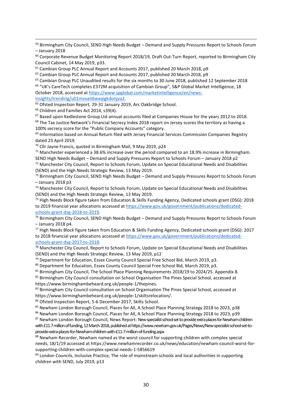59 Birmingham City Council, SEND High Needs Budget – Demand and Supply Pressures Report to Schools Forum – January 2018

 $60$  Corporate Revenue Budget Monitoring Report 2018/19, Draft Out-Turn Report, reported to Birmingham City Council Cabinet, 14 May 2019, p33.

 $61$  Cambian Group PLC Annual Report and Accounts 2017, published 20 March 2018, p9

<sup>62</sup> Cambian Group PLC Annual Report and Accounts 2017, published 20 March 2018, p9

<sup>63</sup> Cambian Group PLC Unaudited results for the six months to 30 June 2018, published 12 September 2018

<sup>64</sup> "UK's CareTech completes £372M acquisition of Cambian Group", S&P Global Market Intelligence, 18 October 2018, accessed a[t https://www.spglobal.com/marketintelligence/en/news-](https://www.spglobal.com/marketintelligence/en/news-insights/trending/u01mvxait6waqigkdonjva2)

[insights/trending/u01mvxait6waqigkdonjva2.](https://www.spglobal.com/marketintelligence/en/news-insights/trending/u01mvxait6waqigkdonjva2) 

<sup>65</sup> Ofsted Inspection Report, 29-31 January 2019, Arc Oakbridge School.

<sup>66</sup> Children and Families Act 2014, s39(4).

<sup>67</sup> Based upon Kedlestone Group Ltd annual accounts filed at Companies House for the years 2012 to 2018.

<sup>68</sup> The Tax Justice Network's Financial Secrecy Index 2018 report on Jersey scores the territory as having a 100% secrecy score for the "Public Company Accounts" category.

<sup>69</sup> Information based on Annual Return filed with Jersey Financial Services Commission Companies Registry dated 23 April 2019.

<sup>70</sup> Cllr Jayne Francis, quoted in Birmingham Mail, 9 May 2019, p24

 $71$  Manchester experienced a 38.6% increase over the period compared to an 18.9% increase in Birmingham. SEND High Needs Budget – Demand and Supply Pressures Report to Schools Forum – January 2018 p2  $72$  Manchester City Council, Report to Schools Forum, Update on Special Educational Needs and Disabilities

(SEND) and the High Needs Strategic Review, 13 May 2019.

73 Birmingham City Council, SEND High Needs Budget – Demand and Supply Pressures Report to Schools Forum – January 2018 p3

<sup>74</sup> Manchester City Council, Report to Schools Forum, Update on Special Educational Needs and Disabilities (SEND) and the High Needs Strategic Review, 13 May 2019.

<sup>75</sup> High Needs Block figure taken from Education & Skills Funding Agency, Dedicated schools grant (DSG): 2018 to 2019 financial year allocations accessed at [https://www.gov.uk/government/publications/dedicated](https://www.gov.uk/government/publications/dedicated-schools-grant-dsg-2018-to-2019)[schools-grant-dsg-2018-to-2019.](https://www.gov.uk/government/publications/dedicated-schools-grant-dsg-2018-to-2019)

<sup>76</sup> Birmingham City Council, SEND High Needs Budget – Demand and Supply Pressures Report to Schools Forum – January 2018 p4.

<sup>77</sup> High Needs Block figure taken from Education & Skills Funding Agency, Dedicated schools grant (DSG): 2017 to 2018 financial year allocations accessed at [https://www.gov.uk/government/publications/dedicated](https://www.gov.uk/government/publications/dedicated-schools-grant-dsg-2017-to-2018)[schools-grant-dsg-2017-to-2018.](https://www.gov.uk/government/publications/dedicated-schools-grant-dsg-2017-to-2018)

<sup>78</sup> Manchester City Council, Report to Schools Forum, Update on Special Educational Needs and Disabilities (SEND) and the High Needs Strategic Review, 13 May 2019, p12

<sup>79</sup> Department for Education, Essex County Council Special Free School Bid, March 2019, p3.

<sup>80</sup> Department for Education, Essex County Council Special Free School Bid, March 2019, p3.

<sup>81</sup> Birmingham City Council, The School Place Planning Requirements 2018/19 to 2024/25. Appendix 8.

82 Birmingham City Council consultation on School Organisation The Pines Special School, accessed at https://www.birminghambeheard.org.uk/people-1/thepines.

83 Birmingham City Council consultation on School Organisation The Pines Special School, accessed at https://www.birminghambeheard.org.uk/people-1/skiltsrelocation/.

84 Ofsted Inspection Report, 5-6 December 2017, Skilts School.

85 Newham London Borough Council, Places for All, A School Place Planning Strategy 2018 to 2023, p38

86 Newham London Borough Council, Places for All, A School Place Planning Strategy 2018 to 2023, p39

87 Newham London Borough Council, News Report: New specialist school set to provide extra places for Newham children with £11.7 million of funding, 12 March 2018, published at https://www.newham.gov.uk/Pages/News/New-specialist-school-set-toprovide-extra-places-for-Newham-children-with-£11-7-million-of-funding.aspx

88 Newham Recorder, Newham named as the worst council for supporting children with complex special needs, 18/1/19 accessed at https://www.newhamrecorder.co.uk/news/education/newham-council-worst-forsupporting-children-with-complex-special-needs-1-5856619

89 London Councils, Inclusive Practice, The role of mainstream schools and local authorities in supporting children with SEND, July 2019, p13